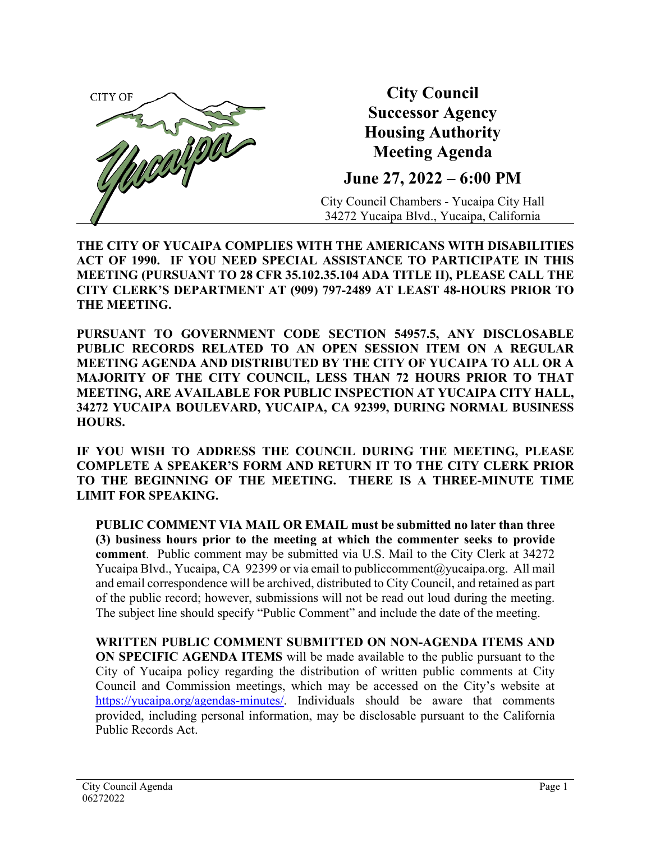

**City Council Successor Agency Housing Authority Meeting Agenda**

**June 27, 2022 – 6:00 PM**

City Council Chambers - Yucaipa City Hall 34272 Yucaipa Blvd., Yucaipa, California

**THE CITY OF YUCAIPA COMPLIES WITH THE AMERICANS WITH DISABILITIES ACT OF 1990. IF YOU NEED SPECIAL ASSISTANCE TO PARTICIPATE IN THIS MEETING (PURSUANT TO 28 CFR 35.102.35.104 ADA TITLE II), PLEASE CALL THE CITY CLERK'S DEPARTMENT AT (909) 797-2489 AT LEAST 48-HOURS PRIOR TO THE MEETING.**

**PURSUANT TO GOVERNMENT CODE SECTION 54957.5, ANY DISCLOSABLE PUBLIC RECORDS RELATED TO AN OPEN SESSION ITEM ON A REGULAR MEETING AGENDA AND DISTRIBUTED BY THE CITY OF YUCAIPA TO ALL OR A MAJORITY OF THE CITY COUNCIL, LESS THAN 72 HOURS PRIOR TO THAT MEETING, ARE AVAILABLE FOR PUBLIC INSPECTION AT YUCAIPA CITY HALL, 34272 YUCAIPA BOULEVARD, YUCAIPA, CA 92399, DURING NORMAL BUSINESS HOURS.**

**IF YOU WISH TO ADDRESS THE COUNCIL DURING THE MEETING, PLEASE COMPLETE A SPEAKER'S FORM AND RETURN IT TO THE CITY CLERK PRIOR TO THE BEGINNING OF THE MEETING. THERE IS A THREE-MINUTE TIME LIMIT FOR SPEAKING.**

**PUBLIC COMMENT VIA MAIL OR EMAIL must be submitted no later than three (3) business hours prior to the meeting at which the commenter seeks to provide comment**. Public comment may be submitted via U.S. Mail to the City Clerk at 34272 Yucaipa Blvd., Yucaipa, CA 92399 or via email to publiccomment  $@$ yucaipa.org. All mail and email correspondence will be archived, distributed to City Council, and retained as part of the public record; however, submissions will not be read out loud during the meeting. The subject line should specify "Public Comment" and include the date of the meeting.

**WRITTEN PUBLIC COMMENT SUBMITTED ON NON-AGENDA ITEMS AND ON SPECIFIC AGENDA ITEMS** will be made available to the public pursuant to the City of Yucaipa policy regarding the distribution of written public comments at City Council and Commission meetings, which may be accessed on the City's website at [https://yucaipa.org/agendas-minutes/.](https://yucaipa.org/agendas-minutes/) Individuals should be aware that comments provided, including personal information, may be disclosable pursuant to the California Public Records Act.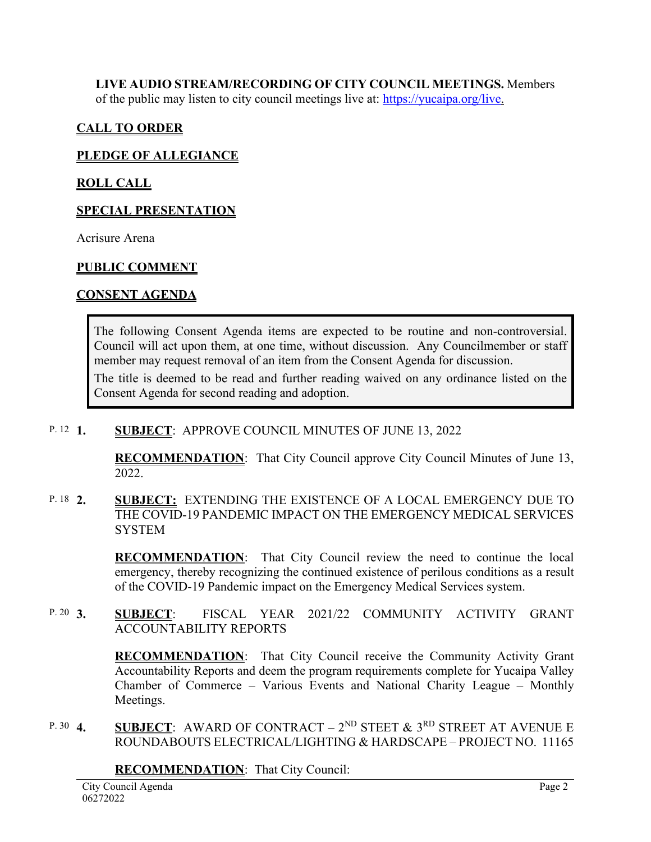**LIVE AUDIO STREAM/RECORDING OF CITY COUNCIL MEETINGS.** Members of the public may listen to city council meetings live at: [https://yucaipa.org/live.](https://yucaipa.org/live)

# **CALL TO ORDER**

## **PLEDGE OF ALLEGIANCE**

## **ROLL CALL**

## **SPECIAL PRESENTATION**

Acrisure Arena

## **PUBLIC COMMENT**

### **CONSENT AGENDA**

The following Consent Agenda items are expected to be routine and non-controversial. Council will act upon them, at one time, without discussion. Any Councilmember or staff member may request removal of an item from the Consent Agenda for discussion.

The title is deemed to be read and further reading waived on any ordinance listed on the Consent Agenda for second reading and adoption.

#### **SUBJECT: APPROVE COUNCIL MINUTES OF JUNE 13, 2022** P. 12  $1$ .

**RECOMMENDATION**:That City Council approve City Council Minutes of June 13, 2022.

#### **2. SUBJECT:** EXTENDING THE EXISTENCE OF A LOCAL EMERGENCY DUE TO THE COVID-19 PANDEMIC IMPACT ON THE EMERGENCY MEDICAL SERVICES **SYSTEM** P. 18  $2$

**RECOMMENDATION**:That City Council review the need to continue the local emergency, thereby recognizing the continued existence of perilous conditions as a result of the COVID-19 Pandemic impact on the Emergency Medical Services system.

**3. SUBJECT**: FISCAL YEAR 2021/22 COMMUNITY ACTIVITY GRANT ACCOUNTABILITY REPORTS P. 20  $3.$ 

> **RECOMMENDATION**:That City Council receive the Community Activity Grant Accountability Reports and deem the program requirements complete for Yucaipa Valley Chamber of Commerce – Various Events and National Charity League – Monthly Meetings.

**SUBJECT:** AWARD OF CONTRACT –  $2^{ND}$  STEET  $\&$  3<sup>RD</sup> STREET AT AVENUE E ROUNDABOUTS ELECTRICAL/LIGHTING & HARDSCAPE – PROJECT NO. 11165 P. 30  $4.$ 

**RECOMMENDATION**:That City Council: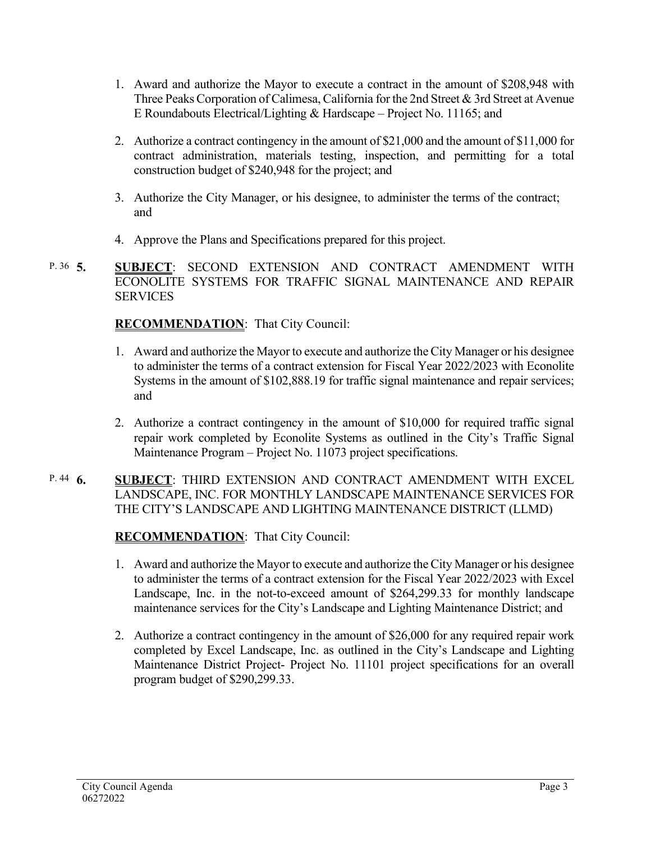- 1. Award and authorize the Mayor to execute a contract in the amount of \$208,948 with Three Peaks Corporation of Calimesa, California for the 2nd Street & 3rd Street at Avenue E Roundabouts Electrical/Lighting & Hardscape – Project No. 11165; and
- 2. Authorize a contract contingency in the amount of \$21,000 and the amount of \$11,000 for contract administration, materials testing, inspection, and permitting for a total construction budget of \$240,948 for the project; and
- 3. Authorize the City Manager, or his designee, to administer the terms of the contract; and
- 4. Approve the Plans and Specifications prepared for this project.
- **5. SUBJECT**: SECOND EXTENSION AND CONTRACT AMENDMENT WITH ECONOLITE SYSTEMS FOR TRAFFIC SIGNAL MAINTENANCE AND REPAIR **SERVICES** P. 36  $\overline{5}$ .

# **RECOMMENDATION**:That City Council:

- 1. Award and authorize the Mayor to execute and authorize the City Manager or his designee to administer the terms of a contract extension for Fiscal Year 2022/2023 with Econolite Systems in the amount of \$102,888.19 for traffic signal maintenance and repair services; and
- 2. Authorize a contract contingency in the amount of \$10,000 for required traffic signal repair work completed by Econolite Systems as outlined in the City's Traffic Signal Maintenance Program – Project No. 11073 project specifications.

#### **6. SUBJECT**: THIRD EXTENSION AND CONTRACT AMENDMENT WITH EXCEL LANDSCAPE, INC. FOR MONTHLY LANDSCAPE MAINTENANCE SERVICES FOR THE CITY'S LANDSCAPE AND LIGHTING MAINTENANCE DISTRICT (LLMD) P.  $44\quad6.$

# **RECOMMENDATION**:That City Council:

- 1. Award and authorize the Mayor to execute and authorize the City Manager or his designee to administer the terms of a contract extension for the Fiscal Year 2022/2023 with Excel Landscape, Inc. in the not-to-exceed amount of \$264,299.33 for monthly landscape maintenance services for the City's Landscape and Lighting Maintenance District; and
- 2. Authorize a contract contingency in the amount of \$26,000 for any required repair work completed by Excel Landscape, Inc. as outlined in the City's Landscape and Lighting Maintenance District Project- Project No. 11101 project specifications for an overall program budget of \$290,299.33.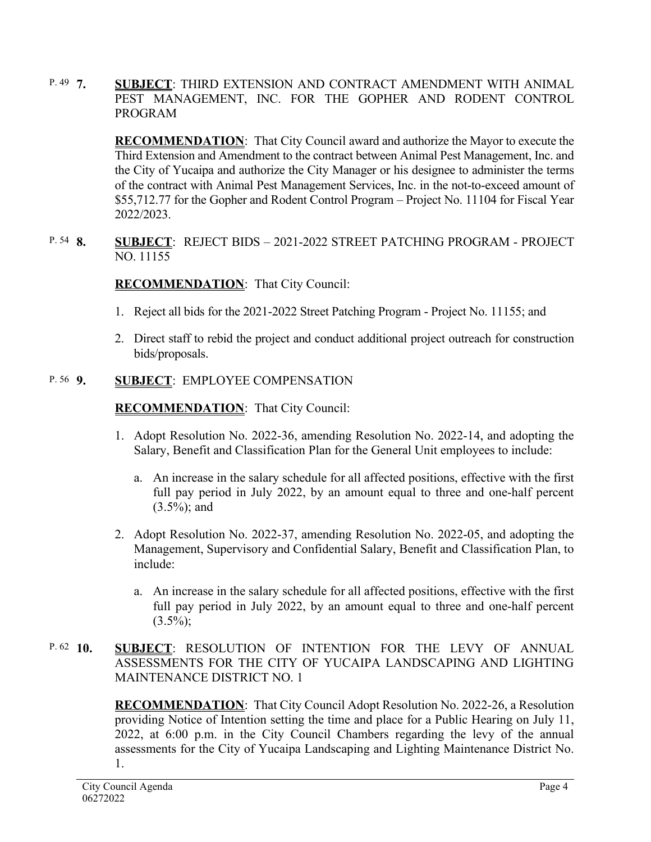**7. SUBJECT**: THIRD EXTENSION AND CONTRACT AMENDMENT WITH ANIMAL PEST MANAGEMENT, INC. FOR THE GOPHER AND RODENT CONTROL PROGRAM P.  $49\,7$ .

> **RECOMMENDATION**:That City Council award and authorize the Mayor to execute the Third Extension and Amendment to the contract between Animal Pest Management, Inc. and the City of Yucaipa and authorize the City Manager or his designee to administer the terms of the contract with Animal Pest Management Services, Inc. in the not-to-exceed amount of \$55,712.77 for the Gopher and Rodent Control Program – Project No. 11104 for Fiscal Year 2022/2023.

**8. SUBJECT**: REJECT BIDS – 2021-2022 STREET PATCHING PROGRAM - PROJECT NO. 11155 P. 54 **8**.

# **RECOMMENDATION**:That City Council:

- 1. Reject all bids for the 2021-2022 Street Patching Program Project No. 11155; and
- 2. Direct staff to rebid the project and conduct additional project outreach for construction bids/proposals.

#### **9. SUBJECT**: EMPLOYEE COMPENSATION P. 56 9.

## **RECOMMENDATION**:That City Council:

- 1. Adopt Resolution No. 2022-36, amending Resolution No. 2022-14, and adopting the Salary, Benefit and Classification Plan for the General Unit employees to include:
	- a. An increase in the salary schedule for all affected positions, effective with the first full pay period in July 2022, by an amount equal to three and one-half percent (3.5%); and
- 2. Adopt Resolution No. 2022-37, amending Resolution No. 2022-05, and adopting the Management, Supervisory and Confidential Salary, Benefit and Classification Plan, to include:
	- a. An increase in the salary schedule for all affected positions, effective with the first full pay period in July 2022, by an amount equal to three and one-half percent  $(3.5\%)$ ;

#### **10. SUBJECT**: RESOLUTION OF INTENTION FOR THE LEVY OF ANNUAL ASSESSMENTS FOR THE CITY OF YUCAIPA LANDSCAPING AND LIGHTING MAINTENANCE DISTRICT NO. 1 P.  $62 \quad 10.$

**RECOMMENDATION**: That City Council Adopt Resolution No. 2022-26, a Resolution providing Notice of Intention setting the time and place for a Public Hearing on July 11, 2022, at 6:00 p.m. in the City Council Chambers regarding the levy of the annual assessments for the City of Yucaipa Landscaping and Lighting Maintenance District No. 1.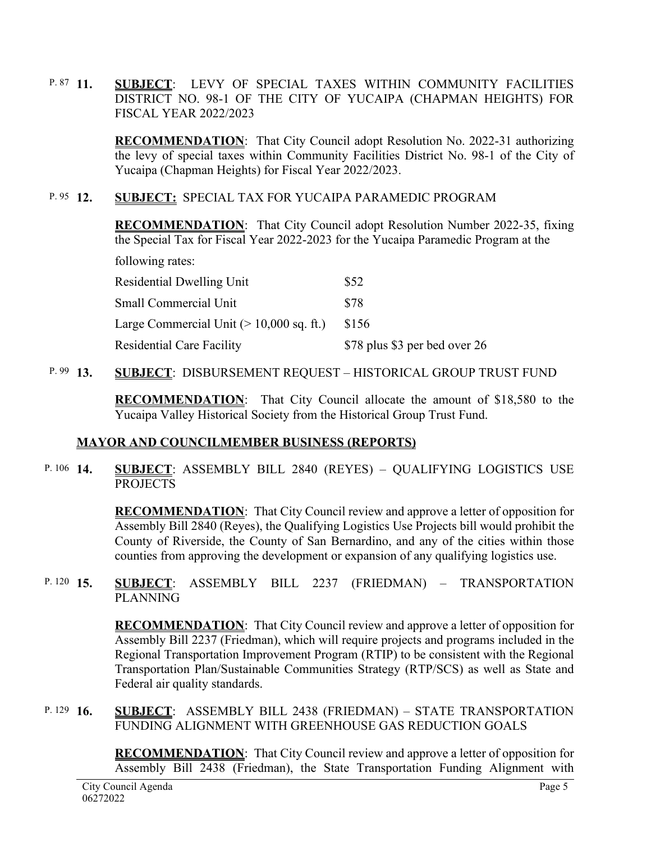**11. SUBJECT**: LEVY OF SPECIAL TAXES WITHIN COMMUNITY FACILITIES DISTRICT NO. 98-1 OF THE CITY OF YUCAIPA (CHAPMAN HEIGHTS) FOR FISCAL YEAR 2022/2023 P.  $87$  11.

> **RECOMMENDATION**:That City Council adopt Resolution No. 2022-31 authorizing the levy of special taxes within Community Facilities District No. 98-1 of the City of Yucaipa (Chapman Heights) for Fiscal Year 2022/2023.

#### **12. SUBJECT:** SPECIAL TAX FOR YUCAIPA PARAMEDIC PROGRAM P.  $95 \quad 12.$

**RECOMMENDATION**: That City Council adopt Resolution Number 2022-35, fixing the Special Tax for Fiscal Year 2022-2023 for the Yucaipa Paramedic Program at the

following rates:

| <b>Residential Dwelling Unit</b>                  | \$52                          |
|---------------------------------------------------|-------------------------------|
| Small Commercial Unit                             | \$78                          |
| Large Commercial Unit $(>10,000 \text{ sq. ft.})$ | \$156                         |
| <b>Residential Care Facility</b>                  | \$78 plus \$3 per bed over 26 |

#### **13. SUBJECT**: DISBURSEMENT REQUEST – HISTORICAL GROUP TRUST FUND P.  $99$  13.

**RECOMMENDATION**:That City Council allocate the amount of \$18,580 to the Yucaipa Valley Historical Society from the Historical Group Trust Fund.

# **MAYOR AND COUNCILMEMBER BUSINESS (REPORTS)**

#### **SUBJECT:** ASSEMBLY BILL 2840 (REYES) – QUALIFYING LOGISTICS USE PROJECTS P. 106 14.

**RECOMMENDATION**:That City Council review and approve a letter of opposition for Assembly Bill 2840 (Reyes), the Qualifying Logistics Use Projects bill would prohibit the County of Riverside, the County of San Bernardino, and any of the cities within those counties from approving the development or expansion of any qualifying logistics use.

#### **15. SUBJECT**: ASSEMBLY BILL 2237 (FRIEDMAN) – TRANSPORTATION PLANNING P. 120  $15$ .

**RECOMMENDATION**:That City Council review and approve a letter of opposition for Assembly Bill 2237 (Friedman), which will require projects and programs included in the Regional Transportation Improvement Program (RTIP) to be consistent with the Regional Transportation Plan/Sustainable Communities Strategy (RTP/SCS) as well as State and Federal air quality standards.

**SUBJECT: ASSEMBLY BILL 2438 (FRIEDMAN) – STATE TRANSPORTATION** FUNDING ALIGNMENT WITH GREENHOUSE GAS REDUCTION GOALS P. 129  $16$ 

> **RECOMMENDATION**:That City Council review and approve a letter of opposition for Assembly Bill 2438 (Friedman), the State Transportation Funding Alignment with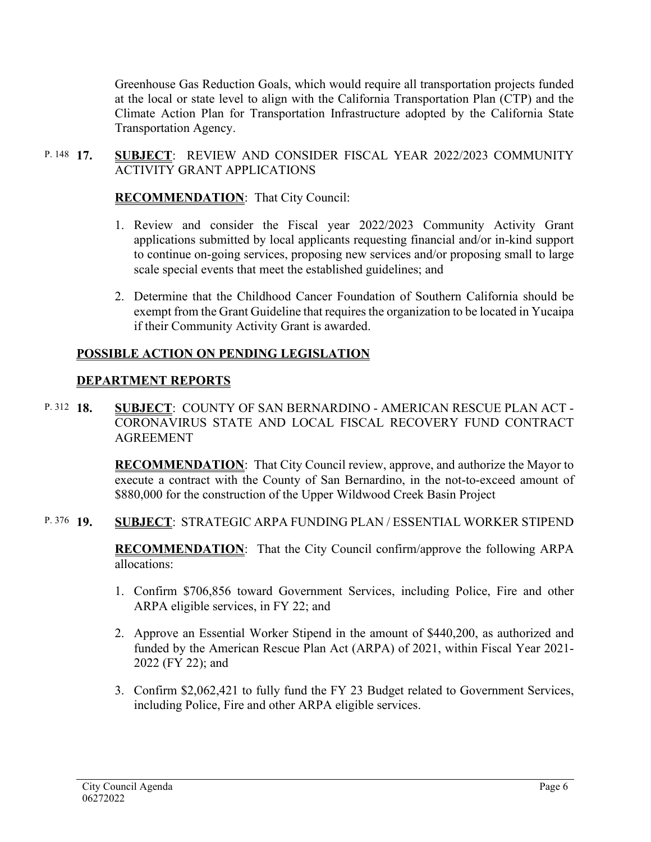Greenhouse Gas Reduction Goals, which would require all transportation projects funded at the local or state level to align with the California Transportation Plan (CTP) and the Climate Action Plan for Transportation Infrastructure adopted by the California State Transportation Agency.

#### **17. SUBJECT**: REVIEW AND CONSIDER FISCAL YEAR 2022/2023 COMMUNITY ACTIVITY GRANT APPLICATIONS P. 148 17.

## **RECOMMENDATION**:That City Council:

- 1. Review and consider the Fiscal year 2022/2023 Community Activity Grant applications submitted by local applicants requesting financial and/or in-kind support to continue on-going services, proposing new services and/or proposing small to large scale special events that meet the established guidelines; and
- 2. Determine that the Childhood Cancer Foundation of Southern California should be exempt from the Grant Guideline that requires the organization to be located in Yucaipa if their Community Activity Grant is awarded.

## **POSSIBLE ACTION ON PENDING LEGISLATION**

### **DEPARTMENT REPORTS**

**18. SUBJECT**: COUNTY OF SAN BERNARDINO - AMERICAN RESCUE PLAN ACT - CORONAVIRUS STATE AND LOCAL FISCAL RECOVERY FUND CONTRACT AGREEMENT P. 312 18

> **RECOMMENDATION**:That City Council review, approve, and authorize the Mayor to execute a contract with the County of San Bernardino, in the not-to-exceed amount of \$880,000 for the construction of the Upper Wildwood Creek Basin Project

#### **19. SUBJECT**: STRATEGIC ARPA FUNDING PLAN / ESSENTIAL WORKER STIPEND P. 376 19.

**RECOMMENDATION**:That the City Council confirm/approve the following ARPA allocations:

- 1. Confirm \$706,856 toward Government Services, including Police, Fire and other ARPA eligible services, in FY 22; and
- 2. Approve an Essential Worker Stipend in the amount of \$440,200, as authorized and funded by the American Rescue Plan Act (ARPA) of 2021, within Fiscal Year 2021- 2022 (FY 22); and
- 3. Confirm \$2,062,421 to fully fund the FY 23 Budget related to Government Services, including Police, Fire and other ARPA eligible services.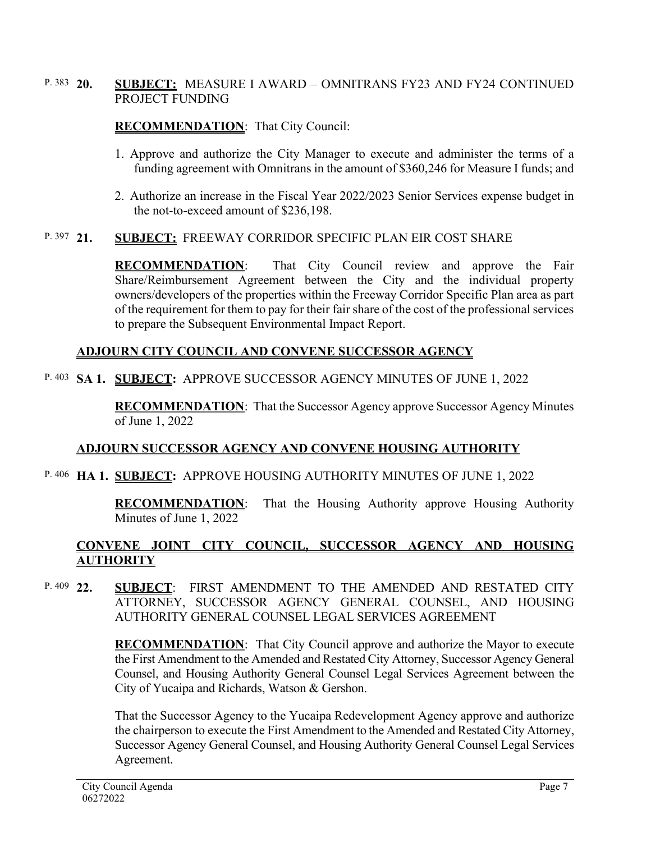#### **20. SUBJECT:** MEASURE I AWARD – OMNITRANS FY23 AND FY24 CONTINUED PROJECT FUNDING P. 383  $20.$

## **RECOMMENDATION**:That City Council:

- 1. Approve and authorize the City Manager to execute and administer the terms of a funding agreement with Omnitrans in the amount of \$360,246 for Measure I funds; and
- 2. Authorize an increase in the Fiscal Year 2022/2023 Senior Services expense budget in the not-to-exceed amount of \$236,198.

#### **21. SUBJECT:** FREEWAY CORRIDOR SPECIFIC PLAN EIR COST SHARE P. 397 21.

**RECOMMENDATION**:That City Council review and approve the Fair Share/Reimbursement Agreement between the City and the individual property owners/developers of the properties within the Freeway Corridor Specific Plan area as part of the requirement for them to pay for their fair share of the cost of the professional services to prepare the Subsequent Environmental Impact Report.

## **ADJOURN CITY COUNCIL AND CONVENE SUCCESSOR AGENCY**

# **SA 1. SUBJECT:** APPROVE SUCCESSOR AGENCY MINUTES OF JUNE 1, 2022 P. 403

**RECOMMENDATION**:That the Successor Agency approve Successor Agency Minutes of June 1, 2022

### **ADJOURN SUCCESSOR AGENCY AND CONVENE HOUSING AUTHORITY**

### **HA 1. SUBJECT:** APPROVE HOUSING AUTHORITY MINUTES OF JUNE 1, 2022 P. 406

**RECOMMENDATION**:That the Housing Authority approve Housing Authority Minutes of June 1, 2022

# **CONVENE JOINT CITY COUNCIL, SUCCESSOR AGENCY AND HOUSING AUTHORITY**

**22. SUBJECT**: FIRST AMENDMENT TO THE AMENDED AND RESTATED CITY ATTORNEY, SUCCESSOR AGENCY GENERAL COUNSEL, AND HOUSING AUTHORITY GENERAL COUNSEL LEGAL SERVICES AGREEMENT P. 409  $22$ 

> **RECOMMENDATION**: That City Council approve and authorize the Mayor to execute the First Amendment to the Amended and Restated City Attorney, Successor Agency General Counsel, and Housing Authority General Counsel Legal Services Agreement between the City of Yucaipa and Richards, Watson & Gershon.

> That the Successor Agency to the Yucaipa Redevelopment Agency approve and authorize the chairperson to execute the First Amendment to the Amended and Restated City Attorney, Successor Agency General Counsel, and Housing Authority General Counsel Legal Services Agreement.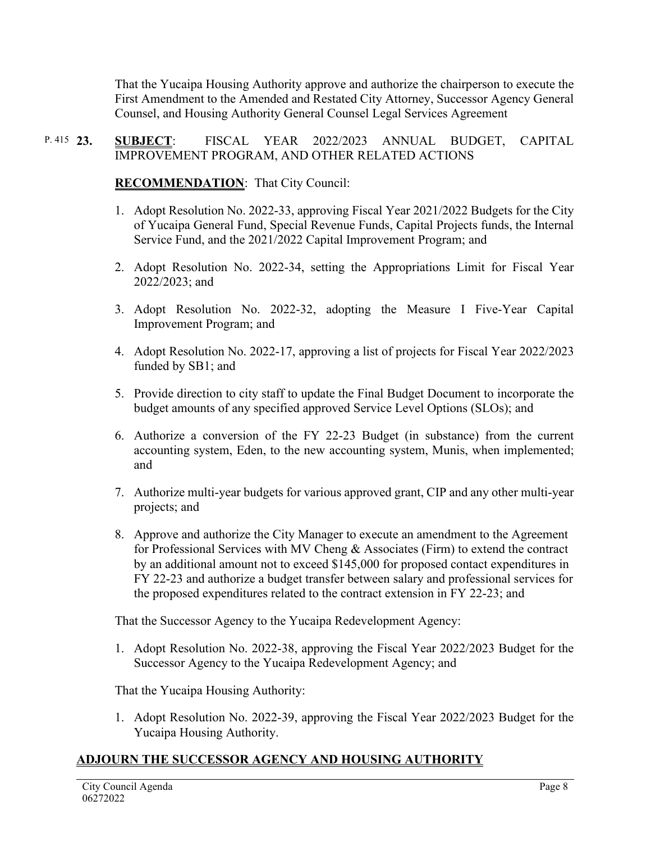That the Yucaipa Housing Authority approve and authorize the chairperson to execute the First Amendment to the Amended and Restated City Attorney, Successor Agency General Counsel, and Housing Authority General Counsel Legal Services Agreement

#### **23. SUBJECT**: FISCAL YEAR 2022/2023 ANNUAL BUDGET, CAPITAL IMPROVEMENT PROGRAM, AND OTHER RELATED ACTIONS P. 415  $23.$

**RECOMMENDATION**:That City Council:

- 1. Adopt Resolution No. 2022-33, approving Fiscal Year 2021/2022 Budgets for the City of Yucaipa General Fund, Special Revenue Funds, Capital Projects funds, the Internal Service Fund, and the 2021/2022 Capital Improvement Program; and
- 2. Adopt Resolution No. 2022-34, setting the Appropriations Limit for Fiscal Year 2022/2023; and
- 3. Adopt Resolution No. 2022-32, adopting the Measure I Five-Year Capital Improvement Program; and
- 4. Adopt Resolution No. 2022-17, approving a list of projects for Fiscal Year 2022/2023 funded by SB1; and
- 5. Provide direction to city staff to update the Final Budget Document to incorporate the budget amounts of any specified approved Service Level Options (SLOs); and
- 6. Authorize a conversion of the FY 22-23 Budget (in substance) from the current accounting system, Eden, to the new accounting system, Munis, when implemented; and
- 7. Authorize multi-year budgets for various approved grant, CIP and any other multi-year projects; and
- 8. Approve and authorize the City Manager to execute an amendment to the Agreement for Professional Services with MV Cheng & Associates (Firm) to extend the contract by an additional amount not to exceed \$145,000 for proposed contact expenditures in FY 22-23 and authorize a budget transfer between salary and professional services for the proposed expenditures related to the contract extension in FY 22-23; and

That the Successor Agency to the Yucaipa Redevelopment Agency:

1. Adopt Resolution No. 2022-38, approving the Fiscal Year 2022/2023 Budget for the Successor Agency to the Yucaipa Redevelopment Agency; and

That the Yucaipa Housing Authority:

1. Adopt Resolution No. 2022-39, approving the Fiscal Year 2022/2023 Budget for the Yucaipa Housing Authority.

# **ADJOURN THE SUCCESSOR AGENCY AND HOUSING AUTHORITY**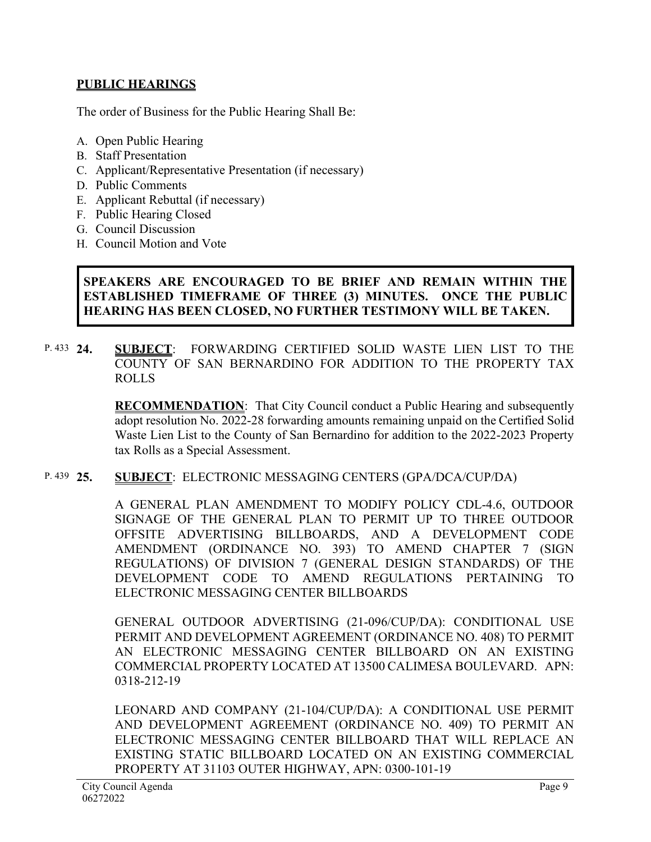## **PUBLIC HEARINGS**

The order of Business for the Public Hearing Shall Be:

- A. Open Public Hearing
- B. Staff Presentation
- C. Applicant/Representative Presentation (if necessary)
- D. Public Comments
- E. Applicant Rebuttal (if necessary)
- F. Public Hearing Closed
- G. Council Discussion
- H. Council Motion and Vote

## **SPEAKERS ARE ENCOURAGED TO BE BRIEF AND REMAIN WITHIN THE ESTABLISHED TIMEFRAME OF THREE (3) MINUTES. ONCE THE PUBLIC HEARING HAS BEEN CLOSED, NO FURTHER TESTIMONY WILL BE TAKEN.**

**24. SUBJECT**: FORWARDING CERTIFIED SOLID WASTE LIEN LIST TO THE COUNTY OF SAN BERNARDINO FOR ADDITION TO THE PROPERTY TAX ROLLS P. 433 24.

> **RECOMMENDATION**:That City Council conduct a Public Hearing and subsequently adopt resolution No. 2022-28 forwarding amounts remaining unpaid on the Certified Solid Waste Lien List to the County of San Bernardino for addition to the 2022-2023 Property tax Rolls as a Special Assessment.

#### **25. SUBJECT**: ELECTRONIC MESSAGING CENTERS (GPA/DCA/CUP/DA) P. 439  $25$ .

A GENERAL PLAN AMENDMENT TO MODIFY POLICY CDL-4.6, OUTDOOR SIGNAGE OF THE GENERAL PLAN TO PERMIT UP TO THREE OUTDOOR OFFSITE ADVERTISING BILLBOARDS, AND A DEVELOPMENT CODE AMENDMENT (ORDINANCE NO. 393) TO AMEND CHAPTER 7 (SIGN REGULATIONS) OF DIVISION 7 (GENERAL DESIGN STANDARDS) OF THE DEVELOPMENT CODE TO AMEND REGULATIONS PERTAINING TO ELECTRONIC MESSAGING CENTER BILLBOARDS

GENERAL OUTDOOR ADVERTISING (21-096/CUP/DA): CONDITIONAL USE PERMIT AND DEVELOPMENT AGREEMENT (ORDINANCE NO. 408) TO PERMIT AN ELECTRONIC MESSAGING CENTER BILLBOARD ON AN EXISTING COMMERCIAL PROPERTY LOCATED AT 13500 CALIMESA BOULEVARD. APN: 0318-212-19

LEONARD AND COMPANY (21-104/CUP/DA): A CONDITIONAL USE PERMIT AND DEVELOPMENT AGREEMENT (ORDINANCE NO. 409) TO PERMIT AN ELECTRONIC MESSAGING CENTER BILLBOARD THAT WILL REPLACE AN EXISTING STATIC BILLBOARD LOCATED ON AN EXISTING COMMERCIAL PROPERTY AT 31103 OUTER HIGHWAY, APN: 0300-101-19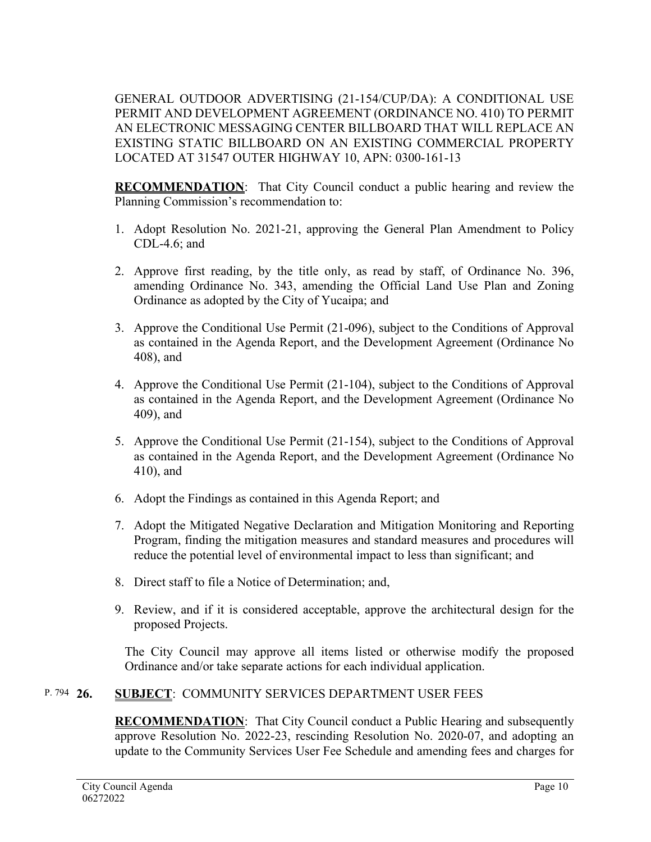GENERAL OUTDOOR ADVERTISING (21-154/CUP/DA): A CONDITIONAL USE PERMIT AND DEVELOPMENT AGREEMENT (ORDINANCE NO. 410) TO PERMIT AN ELECTRONIC MESSAGING CENTER BILLBOARD THAT WILL REPLACE AN EXISTING STATIC BILLBOARD ON AN EXISTING COMMERCIAL PROPERTY LOCATED AT 31547 OUTER HIGHWAY 10, APN: 0300-161-13

**RECOMMENDATION**:That City Council conduct a public hearing and review the Planning Commission's recommendation to:

- 1. Adopt Resolution No. 2021-21, approving the General Plan Amendment to Policy CDL-4.6; and
- 2. Approve first reading, by the title only, as read by staff, of Ordinance No. 396, amending Ordinance No. 343, amending the Official Land Use Plan and Zoning Ordinance as adopted by the City of Yucaipa; and
- 3. Approve the Conditional Use Permit (21-096), subject to the Conditions of Approval as contained in the Agenda Report, and the Development Agreement (Ordinance No 408), and
- 4. Approve the Conditional Use Permit (21-104), subject to the Conditions of Approval as contained in the Agenda Report, and the Development Agreement (Ordinance No 409), and
- 5. Approve the Conditional Use Permit (21-154), subject to the Conditions of Approval as contained in the Agenda Report, and the Development Agreement (Ordinance No 410), and
- 6. Adopt the Findings as contained in this Agenda Report; and
- 7. Adopt the Mitigated Negative Declaration and Mitigation Monitoring and Reporting Program, finding the mitigation measures and standard measures and procedures will reduce the potential level of environmental impact to less than significant; and
- 8. Direct staff to file a Notice of Determination; and,
- 9. Review, and if it is considered acceptable, approve the architectural design for the proposed Projects.

The City Council may approve all items listed or otherwise modify the proposed Ordinance and/or take separate actions for each individual application.

#### **26. SUBJECT**: COMMUNITY SERVICES DEPARTMENT USER FEES P. 794 26.

**RECOMMENDATION**:That City Council conduct a Public Hearing and subsequently approve Resolution No. 2022-23, rescinding Resolution No. 2020-07, and adopting an update to the Community Services User Fee Schedule and amending fees and charges for